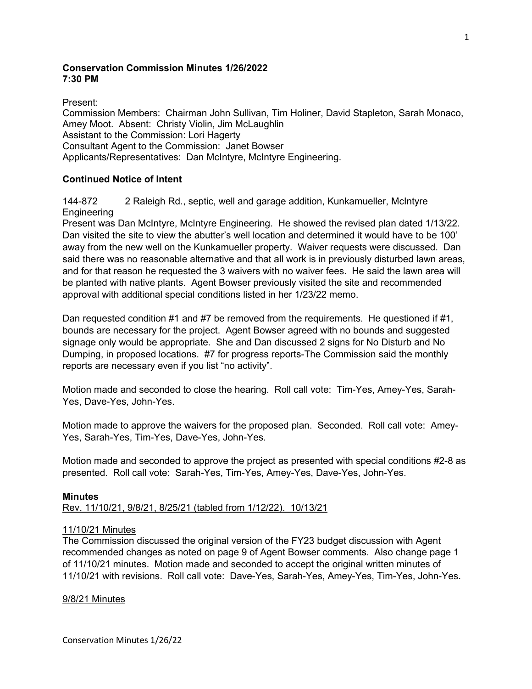# **Conservation Commission Minutes 1/26/2022 7:30 PM**

Present:

Commission Members: Chairman John Sullivan, Tim Holiner, David Stapleton, Sarah Monaco, Amey Moot. Absent: Christy Violin, Jim McLaughlin Assistant to the Commission: Lori Hagerty Consultant Agent to the Commission: Janet Bowser Applicants/Representatives: Dan McIntyre, McIntyre Engineering.

# **Continued Notice of Intent**

## 144-872 2 Raleigh Rd., septic, well and garage addition, Kunkamueller, McIntyre **Engineering**

Present was Dan McIntyre, McIntyre Engineering. He showed the revised plan dated 1/13/22. Dan visited the site to view the abutter's well location and determined it would have to be 100' away from the new well on the Kunkamueller property. Waiver requests were discussed. Dan said there was no reasonable alternative and that all work is in previously disturbed lawn areas, and for that reason he requested the 3 waivers with no waiver fees. He said the lawn area will be planted with native plants. Agent Bowser previously visited the site and recommended approval with additional special conditions listed in her 1/23/22 memo.

Dan requested condition #1 and #7 be removed from the requirements. He questioned if #1, bounds are necessary for the project. Agent Bowser agreed with no bounds and suggested signage only would be appropriate. She and Dan discussed 2 signs for No Disturb and No Dumping, in proposed locations. #7 for progress reports-The Commission said the monthly reports are necessary even if you list "no activity".

Motion made and seconded to close the hearing. Roll call vote: Tim-Yes, Amey-Yes, Sarah-Yes, Dave-Yes, John-Yes.

Motion made to approve the waivers for the proposed plan. Seconded. Roll call vote: Amey-Yes, Sarah-Yes, Tim-Yes, Dave-Yes, John-Yes.

Motion made and seconded to approve the project as presented with special conditions #2-8 as presented. Roll call vote: Sarah-Yes, Tim-Yes, Amey-Yes, Dave-Yes, John-Yes.

## **Minutes**

Rev. 11/10/21, 9/8/21, 8/25/21 (tabled from 1/12/22). 10/13/21

## 11/10/21 Minutes

The Commission discussed the original version of the FY23 budget discussion with Agent recommended changes as noted on page 9 of Agent Bowser comments. Also change page 1 of 11/10/21 minutes. Motion made and seconded to accept the original written minutes of 11/10/21 with revisions. Roll call vote: Dave-Yes, Sarah-Yes, Amey-Yes, Tim-Yes, John-Yes.

## 9/8/21 Minutes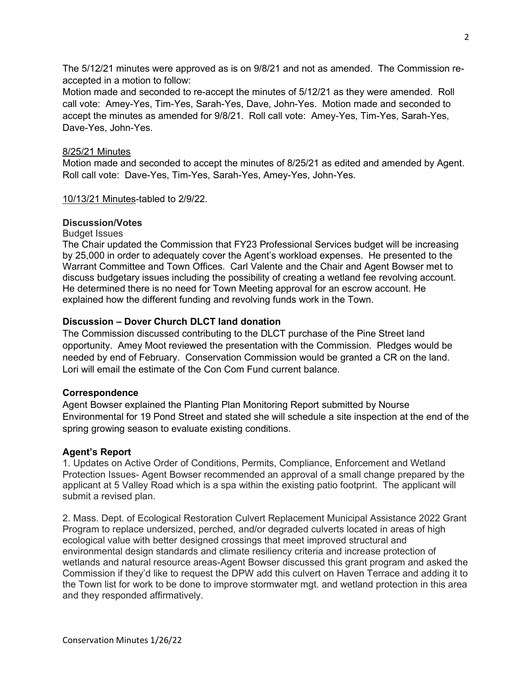The 5/12/21 minutes were approved as is on 9/8/21 and not as amended. The Commission reaccepted in a motion to follow:

Motion made and seconded to re-accept the minutes of 5/12/21 as they were amended. Roll call vote: Amey-Yes, Tim-Yes, Sarah-Yes, Dave, John-Yes.Motion made and seconded to accept the minutes as amended for 9/8/21. Roll call vote: Amey-Yes, Tim-Yes, Sarah-Yes, Dave-Yes, John-Yes.

## 8/25/21 Minutes

Motion made and seconded to accept the minutes of 8/25/21 as edited and amended by Agent. Roll call vote: Dave-Yes, Tim-Yes, Sarah-Yes, Amey-Yes, John-Yes.

10/13/21 Minutes-tabled to 2/9/22.

## **Discussion/Votes**

Budget Issues

The Chair updated the Commission that FY23 Professional Services budget will be increasing by 25,000 in order to adequately cover the Agent's workload expenses. He presented to the Warrant Committee and Town Offices. Carl Valente and the Chair and Agent Bowser met to discuss budgetary issues including the possibility of creating a wetland fee revolving account. He determined there is no need for Town Meeting approval for an escrow account. He explained how the different funding and revolving funds work in the Town.

# **Discussion – Dover Church DLCT land donation**

The Commission discussed contributing to the DLCT purchase of the Pine Street land opportunity. Amey Moot reviewed the presentation with the Commission. Pledges would be needed by end of February. Conservation Commission would be granted a CR on the land. Lori will email the estimate of the Con Com Fund current balance.

## **Correspondence**

Agent Bowser explained the Planting Plan Monitoring Report submitted by Nourse Environmental for 19 Pond Street and stated she will schedule a site inspection at the end of the spring growing season to evaluate existing conditions.

# **Agent's Report**

1. Updates on Active Order of Conditions, Permits, Compliance, Enforcement and Wetland Protection Issues- Agent Bowser recommended an approval of a small change prepared by the applicant at 5 Valley Road which is a spa within the existing patio footprint. The applicant will submit a revised plan.

2. Mass. Dept. of Ecological Restoration Culvert Replacement Municipal Assistance 2022 Grant Program to replace undersized, perched, and/or degraded culverts located in areas of high ecological value with better designed crossings that meet improved structural and environmental design standards and climate resiliency criteria and increase protection of wetlands and natural resource areas-Agent Bowser discussed this grant program and asked the Commission if they'd like to request the DPW add this culvert on Haven Terrace and adding it to the Town list for work to be done to improve stormwater mgt. and wetland protection in this area and they responded affirmatively.